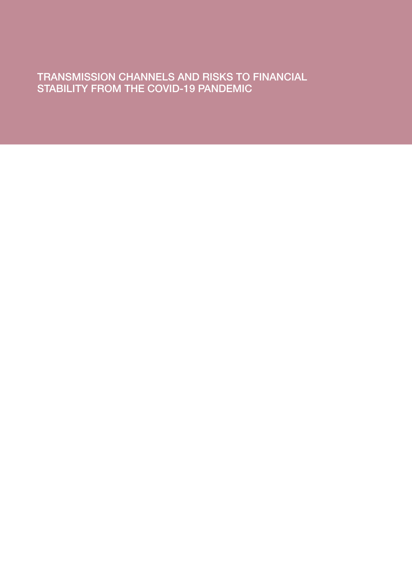TRANSMISSION CHANNELS AND RISKS TO FINANCIAL STABILITY FROM THE COVID-19 PANDEMIC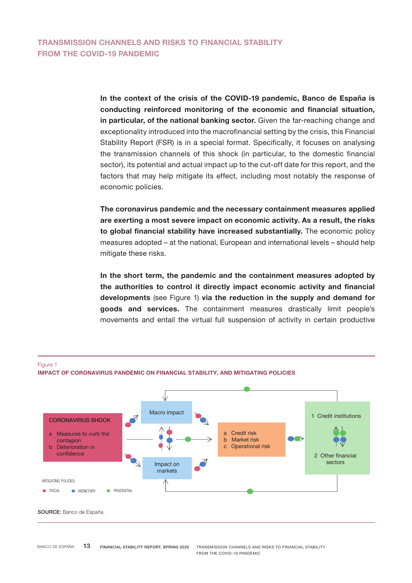In the context of the crisis of the COVID-19 pandemic, Banco de España is conducting reinforced monitoring of the economic and financial situation, in particular, of the national banking sector. Given the far-reaching change and exceptionality introduced into the macrofinancial setting by the crisis, this Financial Stability Report (FSR) is in a special format. Specifically, it focuses on analysing the transmission channels of this shock (in particular, to the domestic financial sector), its potential and actual impact up to the cut-off date for this report, and the factors that may help mitigate its effect, including most notably the response of economic policies.

The coronavirus pandemic and the necessary containment measures applied are exerting a most severe impact on economic activity. As a result, the risks to global financial stability have increased substantially. The economic policy measures adopted – at the national, European and international levels – should help mitigate these risks.

In the short term, the pandemic and the containment measures adopted by the authorities to control it directly impact economic activity and financial developments (see Figure 1) via the reduction in the supply and demand for goods and services. The containment measures drastically limit people's movements and entail the virtual full suspension of activity in certain productive

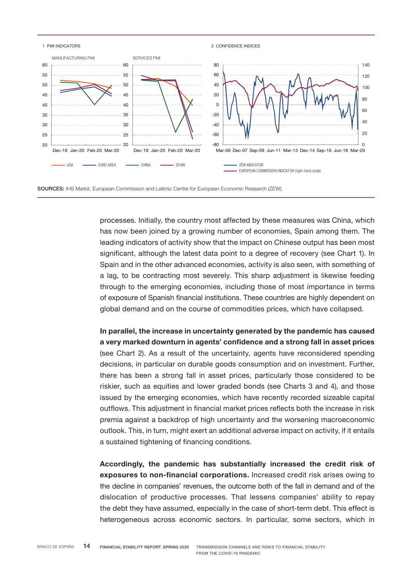

SOURCES: IHS Markit, European Commission and Leibniz Centre for European Economic Research (ZEW).

processes. Initially, the country most affected by these measures was China, which has now been joined by a growing number of economies, Spain among them. The leading indicators of activity show that the impact on Chinese output has been most significant, although the latest data point to a degree of recovery (see Chart 1). In Spain and in the other advanced economies, activity is also seen, with something of a lag, to be contracting most severely. This sharp adjustment is likewise feeding through to the emerging economies, including those of most importance in terms of exposure of Spanish financial institutions. These countries are highly dependent on global demand and on the course of commodities prices, which have collapsed.

In parallel, the increase in uncertainty generated by the pandemic has caused a very marked downturn in agents' confidence and a strong fall in asset prices (see Chart 2). As a result of the uncertainty, agents have reconsidered spending decisions, in particular on durable goods consumption and on investment. Further, there has been a strong fall in asset prices, particularly those considered to be riskier, such as equities and lower graded bonds (see Charts 3 and 4), and those issued by the emerging economies, which have recently recorded sizeable capital outflows. This adjustment in financial market prices reflects both the increase in risk premia against a backdrop of high uncertainty and the worsening macroeconomic outlook. This, in turn, might exert an additional adverse impact on activity, if it entails a sustained tightening of financing conditions.

Accordingly, the pandemic has substantially increased the credit risk of exposures to non-financial corporations. Increased credit risk arises owing to the decline in companies' revenues, the outcome both of the fall in demand and of the dislocation of productive processes. That lessens companies' ability to repay the debt they have assumed, especially in the case of short-term debt. This effect is heterogeneous across economic sectors. In particular, some sectors, which in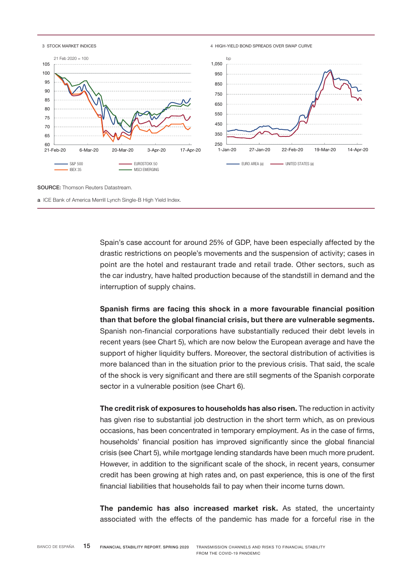

SOURCE: Thomson Reuters Datastream.

a ICE Bank of America Merrill Lynch Single-B High Yield Index.

Spain's case account for around 25% of GDP, have been especially affected by the drastic restrictions on people's movements and the suspension of activity; cases in point are the hotel and restaurant trade and retail trade. Other sectors, such as the car industry, have halted production because of the standstill in demand and the interruption of supply chains.

Spanish firms are facing this shock in a more favourable financial position than that before the global financial crisis, but there are vulnerable segments. Spanish non-financial corporations have substantially reduced their debt levels in recent years (see Chart 5), which are now below the European average and have the support of higher liquidity buffers. Moreover, the sectoral distribution of activities is more balanced than in the situation prior to the previous crisis. That said, the scale of the shock is very significant and there are still segments of the Spanish corporate sector in a vulnerable position (see Chart 6).

The credit risk of exposures to households has also risen. The reduction in activity has given rise to substantial job destruction in the short term which, as on previous occasions, has been concentrated in temporary employment. As in the case of firms, households' financial position has improved significantly since the global financial crisis (see Chart 5), while mortgage lending standards have been much more prudent. However, in addition to the significant scale of the shock, in recent years, consumer credit has been growing at high rates and, on past experience, this is one of the first financial liabilities that households fail to pay when their income turns down.

The pandemic has also increased market risk. As stated, the uncertainty associated with the effects of the pandemic has made for a forceful rise in the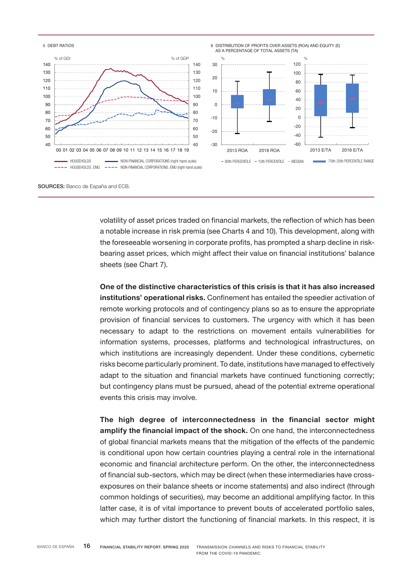

SOURCES: Banco de España and ECB.

volatility of asset prices traded on financial markets, the reflection of which has been a notable increase in risk premia (see Charts 4 and 10). This development, along with the foreseeable worsening in corporate profits, has prompted a sharp decline in riskbearing asset prices, which might affect their value on financial institutions' balance sheets (see Chart 7).

One of the distinctive characteristics of this crisis is that it has also increased institutions' operational risks. Confinement has entailed the speedier activation of remote working protocols and of contingency plans so as to ensure the appropriate provision of financial services to customers. The urgency with which it has been necessary to adapt to the restrictions on movement entails vulnerabilities for information systems, processes, platforms and technological infrastructures, on which institutions are increasingly dependent. Under these conditions, cybernetic risks become particularly prominent. To date, institutions have managed to effectively adapt to the situation and financial markets have continued functioning correctly; but contingency plans must be pursued, ahead of the potential extreme operational events this crisis may involve.

The high degree of interconnectedness in the financial sector might amplify the financial impact of the shock. On one hand, the interconnectedness of global financial markets means that the mitigation of the effects of the pandemic is conditional upon how certain countries playing a central role in the international economic and financial architecture perform. On the other, the interconnectedness of financial sub-sectors, which may be direct (when these intermediaries have crossexposures on their balance sheets or income statements) and also indirect (through common holdings of securities), may become an additional amplifying factor. In this latter case, it is of vital importance to prevent bouts of accelerated portfolio sales, which may further distort the functioning of financial markets. In this respect, it is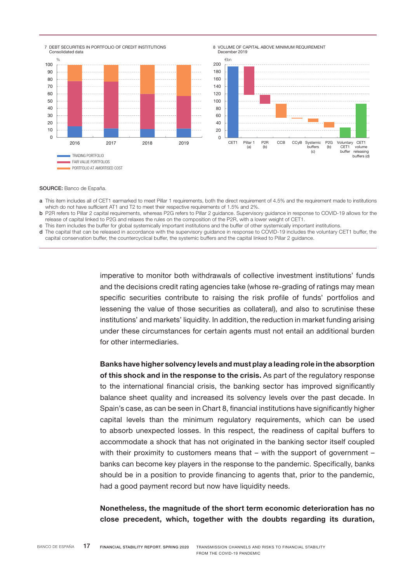



SOURCE: Banco de España.

- a This item includes all of CET1 earmarked to meet Pillar 1 requirements, both the direct requirement of 4.5% and the requirement made to institutions which do not have sufficient AT1 and T2 to meet their respective requirements of 1.5% and 2%.
- b P2R refers to Pillar 2 capital requirements, whereas P2G refers to Pillar 2 guidance. Supervisory guidance in response to COVID-19 allows for the release of capital linked to P2G and relaxes the rules on the composition of the P2R, with a lower weight of CET1.
- c This item includes the buffer for global systemically important institutions and the buffer of other systemically important institutions.
- d The capital that can be released in accordance with the supervisory guidance in response to COVID-19 includes the voluntary CET1 buffer, the capital conservation buffer, the countercyclical buffer, the systemic buffers and the capital linked to Pillar 2 guidance.

imperative to monitor both withdrawals of collective investment institutions' funds and the decisions credit rating agencies take (whose re-grading of ratings may mean specific securities contribute to raising the risk profile of funds' portfolios and lessening the value of those securities as collateral), and also to scrutinise these institutions' and markets' liquidity. In addition, the reduction in market funding arising under these circumstances for certain agents must not entail an additional burden for other intermediaries.

Banks have higher solvency levels and must play a leading role in the absorption of this shock and in the response to the crisis. As part of the regulatory response to the international financial crisis, the banking sector has improved significantly balance sheet quality and increased its solvency levels over the past decade. In Spain's case, as can be seen in Chart 8, financial institutions have significantly higher capital levels than the minimum regulatory requirements, which can be used to absorb unexpected losses. In this respect, the readiness of capital buffers to accommodate a shock that has not originated in the banking sector itself coupled with their proximity to customers means that – with the support of government – banks can become key players in the response to the pandemic. Specifically, banks should be in a position to provide financing to agents that, prior to the pandemic, had a good payment record but now have liquidity needs.

Nonetheless, the magnitude of the short term economic deterioration has no close precedent, which, together with the doubts regarding its duration,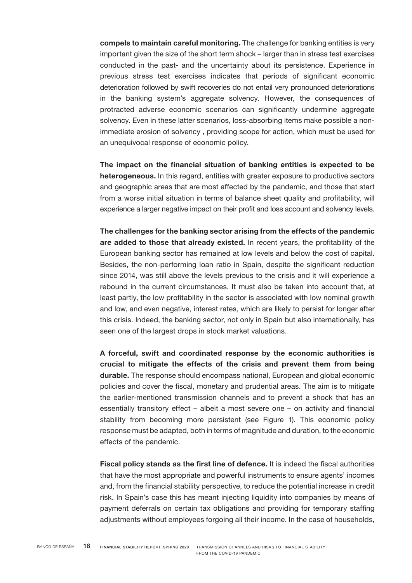compels to maintain careful monitoring. The challenge for banking entities is very important given the size of the short term shock – larger than in stress test exercises conducted in the past- and the uncertainty about its persistence. Experience in previous stress test exercises indicates that periods of significant economic deterioration followed by swift recoveries do not entail very pronounced deteriorations in the banking system's aggregate solvency. However, the consequences of protracted adverse economic scenarios can significantly undermine aggregate solvency. Even in these latter scenarios, loss-absorbing items make possible a nonimmediate erosion of solvency , providing scope for action, which must be used for an unequivocal response of economic policy.

The impact on the financial situation of banking entities is expected to be heterogeneous. In this regard, entities with greater exposure to productive sectors and geographic areas that are most affected by the pandemic, and those that start from a worse initial situation in terms of balance sheet quality and profitability, will experience a larger negative impact on their profit and loss account and solvency levels.

The challenges for the banking sector arising from the effects of the pandemic are added to those that already existed. In recent years, the profitability of the European banking sector has remained at low levels and below the cost of capital. Besides, the non-performing loan ratio in Spain, despite the significant reduction since 2014, was still above the levels previous to the crisis and it will experience a rebound in the current circumstances. It must also be taken into account that, at least partly, the low profitability in the sector is associated with low nominal growth and low, and even negative, interest rates, which are likely to persist for longer after this crisis. Indeed, the banking sector, not only in Spain but also internationally, has seen one of the largest drops in stock market valuations.

A forceful, swift and coordinated response by the economic authorities is crucial to mitigate the effects of the crisis and prevent them from being durable. The response should encompass national, European and global economic policies and cover the fiscal, monetary and prudential areas. The aim is to mitigate the earlier-mentioned transmission channels and to prevent a shock that has an essentially transitory effect – albeit a most severe one – on activity and financial stability from becoming more persistent (see Figure 1). This economic policy response must be adapted, both in terms of magnitude and duration, to the economic effects of the pandemic.

Fiscal policy stands as the first line of defence. It is indeed the fiscal authorities that have the most appropriate and powerful instruments to ensure agents' incomes and, from the financial stability perspective, to reduce the potential increase in credit risk. In Spain's case this has meant injecting liquidity into companies by means of payment deferrals on certain tax obligations and providing for temporary staffing adjustments without employees forgoing all their income. In the case of households,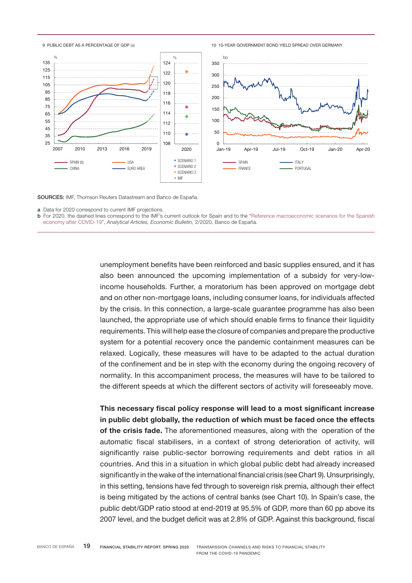

SOURCES: IMF, Thomson Reuters Datastream and Banco de España.

b [For 2020, the dashed lines correspond to the IMF's current outlook for Spain and to the "Reference macroeconomic scenarios for the Spanish](https://www.bde.es/f/webbde/SES/Secciones/Publicaciones/InformesBoletinesRevistas/ArticulosAnaliticos/20/T2/descargar/Files/be2002-art10e.pdf)  economy after COVID-19", *Analytical Articles, Economic Bulletin,* 2/2020, Banco de España.

> unemployment benefits have been reinforced and basic supplies ensured, and it has also been announced the upcoming implementation of a subsidy for very-lowincome households. Further, a moratorium has been approved on mortgage debt and on other non-mortgage loans, including consumer loans, for individuals affected by the crisis. In this connection, a large-scale guarantee programme has also been launched, the appropriate use of which should enable firms to finance their liquidity requirements. This will help ease the closure of companies and prepare the productive system for a potential recovery once the pandemic containment measures can be relaxed. Logically, these measures will have to be adapted to the actual duration of the confinement and be in step with the economy during the ongoing recovery of normality. In this accompaniment process, the measures will have to be tailored to the different speeds at which the different sectors of activity will foreseeably move.

> This necessary fiscal policy response will lead to a most significant increase in public debt globally, the reduction of which must be faced once the effects of the crisis fade. The aforementioned measures, along with the operation of the automatic fiscal stabilisers, in a context of strong deterioration of activity, will significantly raise public-sector borrowing requirements and debt ratios in all countries. And this in a situation in which global public debt had already increased significantly in the wake of the international financial crisis (see Chart 9). Unsurprisingly, in this setting, tensions have fed through to sovereign risk premia, although their effect is being mitigated by the actions of central banks (see Chart 10). In Spain's case, the public debt/GDP ratio stood at end-2019 at 95.5% of GDP, more than 60 pp above its 2007 level, and the budget deficit was at 2.8% of GDP. Against this background, fiscal

a Data for 2020 correspond to current IMF projections.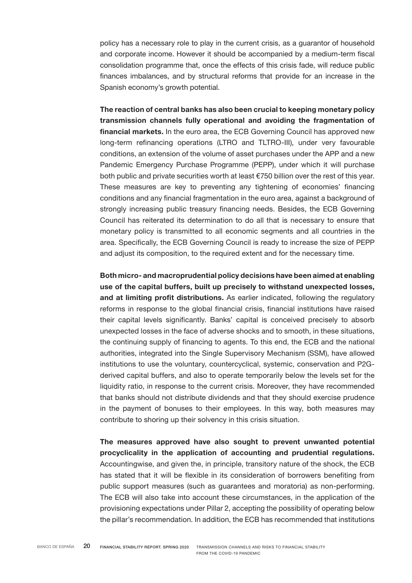policy has a necessary role to play in the current crisis, as a guarantor of household and corporate income. However it should be accompanied by a medium-term fiscal consolidation programme that, once the effects of this crisis fade, will reduce public finances imbalances, and by structural reforms that provide for an increase in the Spanish economy's growth potential.

The reaction of central banks has also been crucial to keeping monetary policy transmission channels fully operational and avoiding the fragmentation of financial markets. In the euro area, the ECB Governing Council has approved new long-term refinancing operations (LTRO and TLTRO-III), under very favourable conditions, an extension of the volume of asset purchases under the APP and a new Pandemic Emergency Purchase Programme (PEPP), under which it will purchase both public and private securities worth at least €750 billion over the rest of this year. These measures are key to preventing any tightening of economies' financing conditions and any financial fragmentation in the euro area, against a background of strongly increasing public treasury financing needs. Besides, the ECB Governing Council has reiterated its determination to do all that is necessary to ensure that monetary policy is transmitted to all economic segments and all countries in the area. Specifically, the ECB Governing Council is ready to increase the size of PEPP and adjust its composition, to the required extent and for the necessary time.

Both micro- and macroprudential policy decisions have been aimed at enabling use of the capital buffers, built up precisely to withstand unexpected losses, and at limiting profit distributions. As earlier indicated, following the regulatory reforms in response to the global financial crisis, financial institutions have raised their capital levels significantly. Banks' capital is conceived precisely to absorb unexpected losses in the face of adverse shocks and to smooth, in these situations, the continuing supply of financing to agents. To this end, the ECB and the national authorities, integrated into the Single Supervisory Mechanism (SSM), have allowed institutions to use the voluntary, countercyclical, systemic, conservation and P2Gderived capital buffers, and also to operate temporarily below the levels set for the liquidity ratio, in response to the current crisis. Moreover, they have recommended that banks should not distribute dividends and that they should exercise prudence in the payment of bonuses to their employees. In this way, both measures may contribute to shoring up their solvency in this crisis situation.

The measures approved have also sought to prevent unwanted potential procyclicality in the application of accounting and prudential regulations. Accountingwise, and given the, in principle, transitory nature of the shock, the ECB has stated that it will be flexible in its consideration of borrowers benefiting from public support measures (such as guarantees and moratoria) as non-performing. The ECB will also take into account these circumstances, in the application of the provisioning expectations under Pillar 2, accepting the possibility of operating below the pillar's recommendation. In addition, the ECB has recommended that institutions